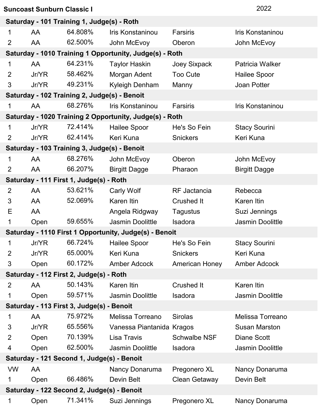| <b>Suncoast Sunburn Classic I</b>          | 2022  |                                              |                                                         |                       |                         |  |
|--------------------------------------------|-------|----------------------------------------------|---------------------------------------------------------|-----------------------|-------------------------|--|
| Saturday - 101 Training 1, Judge(s) - Roth |       |                                              |                                                         |                       |                         |  |
| 1                                          | AA    | 64.808%                                      | Iris Konstaninou                                        | Farsiris              | Iris Konstaninou        |  |
| 2                                          | AA    | 62.500%                                      | John McEvoy                                             | Oberon                | John McEvoy             |  |
|                                            |       |                                              | Saturday - 1010 Training 1 Opportunity, Judge(s) - Roth |                       |                         |  |
| 1                                          | AA    | 64.231%                                      | <b>Taylor Haskin</b>                                    | Joey Sixpack          | Patricia Walker         |  |
| $\overline{2}$                             | Jr/YR | 58.462%                                      | Morgan Adent                                            | <b>Too Cute</b>       | <b>Hailee Spoor</b>     |  |
| 3                                          | Jr/YR | 49.231%                                      | Kyleigh Denham                                          | Manny                 | Joan Potter             |  |
|                                            |       | Saturday - 102 Training 2, Judge(s) - Benoit |                                                         |                       |                         |  |
| 1                                          | AA    | 68.276%                                      | Iris Konstaninou                                        | Farsiris              | Iris Konstaninou        |  |
|                                            |       |                                              | Saturday - 1020 Training 2 Opportunity, Judge(s) - Roth |                       |                         |  |
| 1                                          | Jr/YR | 72.414%                                      | <b>Hailee Spoor</b>                                     | He's So Fein          | <b>Stacy Sourini</b>    |  |
| 2                                          | Jr/YR | 62.414%                                      | Keri Kuna                                               | <b>Snickers</b>       | Keri Kuna               |  |
|                                            |       | Saturday - 103 Training 3, Judge(s) - Benoit |                                                         |                       |                         |  |
| 1                                          | AA    | 68.276%                                      | John McEvoy                                             | Oberon                | John McEvoy             |  |
| 2                                          | AA    | 66.207%                                      | <b>Birgitt Dagge</b>                                    | Pharaon               | <b>Birgitt Dagge</b>    |  |
|                                            |       | Saturday - 111 First 1, Judge(s) - Roth      |                                                         |                       |                         |  |
| 2                                          | AA    | 53.621%                                      | <b>Carly Wolf</b>                                       | <b>RF</b> Jactancia   | Rebecca                 |  |
| 3                                          | AA    | 52.069%                                      | Karen Itin                                              | <b>Crushed It</b>     | Karen Itin              |  |
| Е                                          | AA    |                                              | Angela Ridgway                                          | <b>Tagustus</b>       | Suzi Jennings           |  |
| 1                                          | Open  | 59.655%                                      | <b>Jasmin Doolittle</b>                                 | Isadora               | <b>Jasmin Doolittle</b> |  |
|                                            |       |                                              | Saturday - 1110 First 1 Opportunity, Judge(s) - Benoit  |                       |                         |  |
| 1                                          | Jr/YR | 66.724%                                      | <b>Hailee Spoor</b>                                     | He's So Fein          | <b>Stacy Sourini</b>    |  |
| 2                                          | Jr/YR | 65.000%                                      | Keri Kuna                                               | <b>Snickers</b>       | Keri Kuna               |  |
| 3                                          | Open  | 60.172%                                      | <b>Amber Adcock</b>                                     | <b>American Honey</b> | <b>Amber Adcock</b>     |  |
|                                            |       | Saturday - 112 First 2, Judge(s) - Roth      |                                                         |                       |                         |  |
| $\overline{2}$                             | AA    | 50.143%                                      | <b>Karen Itin</b>                                       | <b>Crushed It</b>     | Karen Itin              |  |
| 1                                          | Open  | 59.571%                                      | <b>Jasmin Doolittle</b>                                 | Isadora               | <b>Jasmin Doolittle</b> |  |
| Saturday - 113 First 3, Judge(s) - Benoit  |       |                                              |                                                         |                       |                         |  |
| 1                                          | AA    | 75.972%                                      | Melissa Torreano                                        | <b>Sirolas</b>        | Melissa Torreano        |  |
| 3                                          | Jr/YR | 65.556%                                      | Vanessa Piantanida Kragos                               |                       | <b>Susan Marston</b>    |  |
| $\overline{2}$                             | Open  | 70.139%                                      | Lisa Travis                                             | <b>Schwalbe NSF</b>   | <b>Diane Scott</b>      |  |
| 4                                          | Open  | 62.500%                                      | <b>Jasmin Doolittle</b>                                 | Isadora               | <b>Jasmin Doolittle</b> |  |
| Saturday - 121 Second 1, Judge(s) - Benoit |       |                                              |                                                         |                       |                         |  |
| <b>VW</b>                                  | AA    |                                              | Nancy Donaruma                                          | Pregonero XL          | Nancy Donaruma          |  |
| 1                                          | Open  | 66.486%                                      | Devin Belt                                              | <b>Clean Getaway</b>  | Devin Belt              |  |
| Saturday - 122 Second 2, Judge(s) - Benoit |       |                                              |                                                         |                       |                         |  |
| 1                                          | Open  | 71.341%                                      | Suzi Jennings                                           | Pregonero XL          | Nancy Donaruma          |  |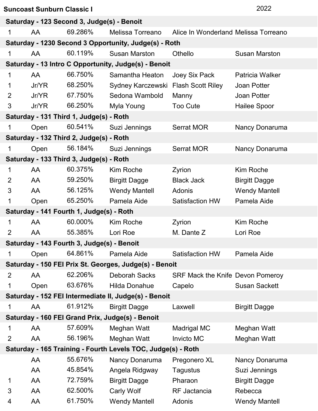| Suncoast Sunburn Classic I | 2022 |
|----------------------------|------|
|                            |      |

| Saturday - 123 Second 3, Judge(s) - Benoit                   |       |                                            |                                                        |                                         |                      |  |
|--------------------------------------------------------------|-------|--------------------------------------------|--------------------------------------------------------|-----------------------------------------|----------------------|--|
| 1                                                            | AA    | 69.286%                                    | Melissa Torreano                                       | Alice In Wonderland Melissa Torreano    |                      |  |
| Saturday - 1230 Second 3 Opportunity, Judge(s) - Roth        |       |                                            |                                                        |                                         |                      |  |
| 1                                                            | AA    | 60.119%                                    | <b>Susan Marston</b>                                   | Othello                                 | <b>Susan Marston</b> |  |
|                                                              |       |                                            | Saturday - 13 Intro C Opportunity, Judge(s) - Benoit   |                                         |                      |  |
| $\mathbf 1$                                                  | AA    | 66.750%                                    | Samantha Heaton                                        | Joey Six Pack                           | Patricia Walker      |  |
| $\mathbf 1$                                                  | Jr/YR | 68.250%                                    | Sydney Karczewski                                      | <b>Flash Scott Riley</b>                | <b>Joan Potter</b>   |  |
| $\overline{2}$                                               | Jr/YR | 67.750%                                    | Sedona Wambold                                         | Manny                                   | <b>Joan Potter</b>   |  |
| 3                                                            | Jr/YR | 66.250%                                    | Myla Young                                             | Too Cute                                | Hailee Spoor         |  |
|                                                              |       | Saturday - 131 Third 1, Judge(s) - Roth    |                                                        |                                         |                      |  |
| 1                                                            | Open  | 60.541%                                    | Suzi Jennings                                          | <b>Serrat MOR</b>                       | Nancy Donaruma       |  |
|                                                              |       | Saturday - 132 Third 2, Judge(s) - Roth    |                                                        |                                         |                      |  |
| 1                                                            | Open  | 56.184%                                    | Suzi Jennings                                          | <b>Serrat MOR</b>                       | Nancy Donaruma       |  |
|                                                              |       | Saturday - 133 Third 3, Judge(s) - Roth    |                                                        |                                         |                      |  |
| 1                                                            | AA    | 60.375%                                    | Kim Roche                                              | Zyrion                                  | Kim Roche            |  |
| 2                                                            | AA    | 59.250%                                    | <b>Birgitt Dagge</b>                                   | <b>Black Jack</b>                       | <b>Birgitt Dagge</b> |  |
| 3                                                            | AA    | 56.125%                                    | <b>Wendy Mantell</b>                                   | Adonis                                  | <b>Wendy Mantell</b> |  |
| 1                                                            | Open  | 65.250%                                    | Pamela Aide                                            | <b>Satisfaction HW</b>                  | Pamela Aide          |  |
|                                                              |       | Saturday - 141 Fourth 1, Judge(s) - Roth   |                                                        |                                         |                      |  |
| $\mathbf 1$                                                  | AA    | 60.000%                                    | Kim Roche                                              | Zyrion                                  | Kim Roche            |  |
| $\overline{2}$                                               | AA    | 55.385%                                    | Lori Roe                                               | M. Dante Z                              | Lori Roe             |  |
|                                                              |       | Saturday - 143 Fourth 3, Judge(s) - Benoit |                                                        |                                         |                      |  |
| 1                                                            | Open  | 64.861%                                    | Pamela Aide                                            | <b>Satisfaction HW</b>                  | Pamela Aide          |  |
|                                                              |       |                                            | Saturday - 150 FEI Prix St. Georges, Judge(s) - Benoit |                                         |                      |  |
| 2                                                            | AA    | 62.206%                                    | Deborah Sacks                                          | <b>SRF Mack the Knife Devon Pomeroy</b> |                      |  |
| 1                                                            | Open  | 63.676%                                    | <b>Hilda Donahue</b>                                   | Capelo                                  | <b>Susan Sackett</b> |  |
| Saturday - 152 FEI Intermediate II, Judge(s) - Benoit        |       |                                            |                                                        |                                         |                      |  |
| 1                                                            | AA    | 61.912%                                    | <b>Birgitt Dagge</b>                                   | Laxwell                                 | <b>Birgitt Dagge</b> |  |
| Saturday - 160 FEI Grand Prix, Judge(s) - Benoit             |       |                                            |                                                        |                                         |                      |  |
| 1                                                            | AA    | 57.609%                                    | Meghan Watt                                            | <b>Madrigal MC</b>                      | Meghan Watt          |  |
| $\overline{2}$                                               | AA    | 56.196%                                    | Meghan Watt                                            | <b>Invicto MC</b>                       | Meghan Watt          |  |
| Saturday - 165 Training - Fourth Levels TOC, Judge(s) - Roth |       |                                            |                                                        |                                         |                      |  |
|                                                              | AA    | 55.676%                                    | Nancy Donaruma                                         | Pregonero XL                            | Nancy Donaruma       |  |
|                                                              | AA    | 45.854%                                    | Angela Ridgway                                         | <b>Tagustus</b>                         | Suzi Jennings        |  |
| 1                                                            | AA    | 72.759%                                    | <b>Birgitt Dagge</b>                                   | Pharaon                                 | <b>Birgitt Dagge</b> |  |
| 3                                                            | AA    | 62.500%                                    | <b>Carly Wolf</b>                                      | <b>RF</b> Jactancia                     | Rebecca              |  |
| 4                                                            | AA    | 61.750%                                    | <b>Wendy Mantell</b>                                   | Adonis                                  | <b>Wendy Mantell</b> |  |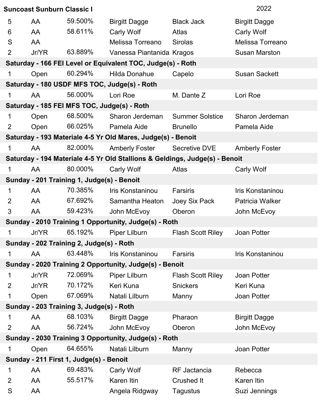| 2022<br><b>Suncoast Sunburn Classic I</b>               |       |                                            |                                                                             |                          |                        |  |
|---------------------------------------------------------|-------|--------------------------------------------|-----------------------------------------------------------------------------|--------------------------|------------------------|--|
| 5                                                       | AA    | 59.500%                                    | <b>Birgitt Dagge</b>                                                        | <b>Black Jack</b>        | <b>Birgitt Dagge</b>   |  |
| 6                                                       | AA    | 58.611%                                    | Carly Wolf                                                                  | Atlas                    | Carly Wolf             |  |
| S                                                       | AA    |                                            | Melissa Torreano                                                            | <b>Sirolas</b>           | Melissa Torreano       |  |
| $\overline{2}$                                          | Jr/YR | 63.889%                                    | Vanessa Piantanida Kragos                                                   |                          | <b>Susan Marston</b>   |  |
|                                                         |       |                                            | Saturday - 166 FEI Level or Equivalent TOC, Judge(s) - Roth                 |                          |                        |  |
| 1                                                       | Open  | 60.294%                                    | <b>Hilda Donahue</b>                                                        | Capelo                   | <b>Susan Sackett</b>   |  |
|                                                         |       |                                            | Saturday - 180 USDF MFS TOC, Judge(s) - Roth                                |                          |                        |  |
| 1                                                       | AA    | 56.000%                                    | Lori Roe                                                                    | M. Dante Z               | Lori Roe               |  |
|                                                         |       |                                            | Saturday - 185 FEI MFS TOC, Judge(s) - Roth                                 |                          |                        |  |
| 1                                                       | Open  | 68.500%                                    | Sharon Jerdeman                                                             | <b>Summer Solstice</b>   | Sharon Jerdeman        |  |
| $\overline{2}$                                          | Open  | 66.025%                                    | Pamela Aide                                                                 | <b>Brunello</b>          | Pamela Aide            |  |
|                                                         |       |                                            | Saturday - 193 Materiale 4-5 Yr Old Mares, Judge(s) - Benoit                |                          |                        |  |
| 1                                                       | AA    | 82.000%                                    | <b>Amberly Foster</b>                                                       | Secretive DVE            | <b>Amberly Foster</b>  |  |
|                                                         |       |                                            | Saturday - 194 Materiale 4-5 Yr Old Stallions & Geldings, Judge(s) - Benoit |                          |                        |  |
| 1                                                       | AA    | 80.000%                                    | Carly Wolf                                                                  | Atlas                    | <b>Carly Wolf</b>      |  |
|                                                         |       | Sunday - 201 Training 1, Judge(s) - Benoit |                                                                             |                          |                        |  |
| 1                                                       | AA    | 70.385%                                    | Iris Konstaninou                                                            | Farsiris                 | Iris Konstaninou       |  |
| $\overline{2}$                                          | AA    | 67.692%                                    | Samantha Heaton                                                             | Joey Six Pack            | <b>Patricia Walker</b> |  |
| 3                                                       | AA    | 59.423%                                    | John McEvoy                                                                 | Oberon                   | John McEvoy            |  |
|                                                         |       |                                            | Sunday - 2010 Training 1 Opportunity, Judge(s) - Roth                       |                          |                        |  |
| 1                                                       | Jr/YR | 65.192%                                    | Piper Lilburn                                                               | <b>Flash Scott Riley</b> | Joan Potter            |  |
|                                                         |       | Sunday - 202 Training 2, Judge(s) - Roth   |                                                                             |                          |                        |  |
| 1                                                       | AA    | 63.448%                                    | Iris Konstaninou                                                            | <b>Farsiris</b>          | Iris Konstaninou       |  |
| Sunday - 2020 Training 2 Opportunity, Judge(s) - Benoit |       |                                            |                                                                             |                          |                        |  |
| 1                                                       | Jr/YR | 72.069%                                    | Piper Lilburn                                                               | <b>Flash Scott Riley</b> | Joan Potter            |  |
| $\overline{2}$                                          | Jr/YR | 70.172%                                    | Keri Kuna                                                                   | <b>Snickers</b>          | Keri Kuna              |  |
| 1                                                       | Open  | 67.069%                                    | Natali Lilburn                                                              | Manny                    | Joan Potter            |  |
| Sunday - 203 Training 3, Judge(s) - Roth                |       |                                            |                                                                             |                          |                        |  |
| 1                                                       | AA    | 68.103%                                    | <b>Birgitt Dagge</b>                                                        | Pharaon                  | <b>Birgitt Dagge</b>   |  |
| 2                                                       | AA    | 56.724%                                    | John McEvoy                                                                 | Oberon                   | John McEvoy            |  |
| Sunday - 2030 Training 3 Opportunity, Judge(s) - Roth   |       |                                            |                                                                             |                          |                        |  |
| 1                                                       | Open  | 64.655%                                    | Natali Lilburn                                                              | Manny                    | <b>Joan Potter</b>     |  |
| Sunday - 211 First 1, Judge(s) - Benoit                 |       |                                            |                                                                             |                          |                        |  |
| $\mathbf 1$                                             | AA    | 69.483%                                    | Carly Wolf                                                                  | RF Jactancia             | Rebecca                |  |
| $\overline{2}$                                          | AA    | 55.517%                                    | Karen Itin                                                                  | <b>Crushed It</b>        | Karen Itin             |  |
| S                                                       | AA    |                                            | Angela Ridgway                                                              | <b>Tagustus</b>          | Suzi Jennings          |  |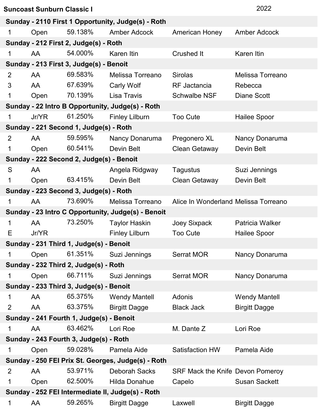| <b>Suncoast Sunburn Classic I</b>                  |                                                   |                                          |                                                    |                                      |                         |  |  |
|----------------------------------------------------|---------------------------------------------------|------------------------------------------|----------------------------------------------------|--------------------------------------|-------------------------|--|--|
| Sunday - 2110 First 1 Opportunity, Judge(s) - Roth |                                                   |                                          |                                                    |                                      |                         |  |  |
| 1                                                  | Open                                              | 59.138%                                  | <b>Amber Adcock</b>                                | <b>American Honey</b>                | <b>Amber Adcock</b>     |  |  |
| Sunday - 212 First 2, Judge(s) - Roth              |                                                   |                                          |                                                    |                                      |                         |  |  |
| 1                                                  | AA                                                | 54.000%                                  | Karen Itin                                         | <b>Crushed It</b>                    | Karen Itin              |  |  |
|                                                    |                                                   | Sunday - 213 First 3, Judge(s) - Benoit  |                                                    |                                      |                         |  |  |
| $\overline{2}$                                     | AA                                                | 69.583%                                  | Melissa Torreano                                   | <b>Sirolas</b>                       | <b>Melissa Torreano</b> |  |  |
| 3                                                  | AA                                                | 67.639%                                  | <b>Carly Wolf</b>                                  | <b>RF</b> Jactancia                  | Rebecca                 |  |  |
| 1                                                  | Open                                              | 70.139%                                  | Lisa Travis                                        | <b>Schwalbe NSF</b>                  | <b>Diane Scott</b>      |  |  |
|                                                    |                                                   |                                          | Sunday - 22 Intro B Opportunity, Judge(s) - Roth   |                                      |                         |  |  |
| 1                                                  | Jr/YR                                             | 61.250%                                  | <b>Finley Lilburn</b>                              | <b>Too Cute</b>                      | <b>Hailee Spoor</b>     |  |  |
|                                                    |                                                   | Sunday - 221 Second 1, Judge(s) - Roth   |                                                    |                                      |                         |  |  |
| $\overline{2}$                                     | AA                                                | 59.595%                                  | Nancy Donaruma                                     | Pregonero XL                         | Nancy Donaruma          |  |  |
| 1                                                  | Open                                              | 60.541%                                  | Devin Belt                                         | <b>Clean Getaway</b>                 | Devin Belt              |  |  |
|                                                    |                                                   | Sunday - 222 Second 2, Judge(s) - Benoit |                                                    |                                      |                         |  |  |
| S                                                  | AA                                                |                                          | Angela Ridgway                                     | <b>Tagustus</b>                      | Suzi Jennings           |  |  |
| 1                                                  | Open                                              | 63.415%                                  | Devin Belt                                         | <b>Clean Getaway</b>                 | Devin Belt              |  |  |
|                                                    |                                                   | Sunday - 223 Second 3, Judge(s) - Roth   |                                                    |                                      |                         |  |  |
| 1                                                  | AA                                                | 73.690%                                  | Melissa Torreano                                   | Alice In Wonderland Melissa Torreano |                         |  |  |
|                                                    |                                                   |                                          | Sunday - 23 Intro C Opportunity, Judge(s) - Benoit |                                      |                         |  |  |
| $\mathbf{1}$                                       | AA                                                | 73.250%                                  | <b>Taylor Haskin</b>                               | Joey Sixpack                         | Patricia Walker         |  |  |
| Ε                                                  | Jr/YR                                             |                                          | <b>Finley Lilburn</b>                              | <b>Too Cute</b>                      | <b>Hailee Spoor</b>     |  |  |
|                                                    |                                                   | Sunday - 231 Third 1, Judge(s) - Benoit  |                                                    |                                      |                         |  |  |
| 1                                                  | Open                                              | 61.351%                                  | Suzi Jennings                                      | Serrat MOR                           | Nancy Donaruma          |  |  |
|                                                    |                                                   | Sunday - 232 Third 2, Judge(s) - Roth    |                                                    |                                      |                         |  |  |
| 1                                                  | Open                                              | 66.711%                                  | Suzi Jennings                                      | <b>Serrat MOR</b>                    | Nancy Donaruma          |  |  |
|                                                    |                                                   | Sunday - 233 Third 3, Judge(s) - Benoit  |                                                    |                                      |                         |  |  |
| $\mathbf 1$                                        | AA                                                | 65.375%                                  | <b>Wendy Mantell</b>                               | Adonis                               | <b>Wendy Mantell</b>    |  |  |
| $\overline{2}$                                     | AA                                                | 63.375%                                  | <b>Birgitt Dagge</b>                               | <b>Black Jack</b>                    | <b>Birgitt Dagge</b>    |  |  |
| Sunday - 241 Fourth 1, Judge(s) - Benoit           |                                                   |                                          |                                                    |                                      |                         |  |  |
| $\mathbf 1$                                        | AA                                                | 63.462%                                  | Lori Roe                                           | M. Dante Z                           | Lori Roe                |  |  |
| Sunday - 243 Fourth 3, Judge(s) - Roth             |                                                   |                                          |                                                    |                                      |                         |  |  |
| 1                                                  | Open                                              | 59.028%                                  | Pamela Aide                                        | <b>Satisfaction HW</b>               | Pamela Aide             |  |  |
| Sunday - 250 FEI Prix St. Georges, Judge(s) - Roth |                                                   |                                          |                                                    |                                      |                         |  |  |
| $\overline{2}$                                     | AA                                                | 53.971%                                  | <b>Deborah Sacks</b>                               | SRF Mack the Knife Devon Pomeroy     |                         |  |  |
| 1                                                  | Open                                              | 62.500%                                  | <b>Hilda Donahue</b>                               | Capelo                               | <b>Susan Sackett</b>    |  |  |
|                                                    | Sunday - 252 FEI Intermediate II, Judge(s) - Roth |                                          |                                                    |                                      |                         |  |  |
| 1                                                  | AA                                                | 59.265%                                  | <b>Birgitt Dagge</b>                               | Laxwell                              | <b>Birgitt Dagge</b>    |  |  |